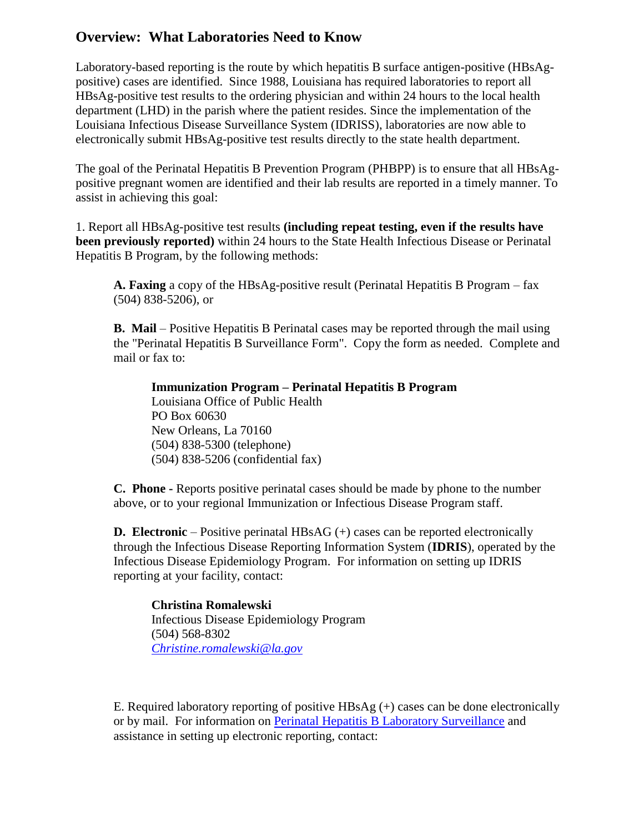## **Overview: What Laboratories Need to Know**

Laboratory-based reporting is the route by which hepatitis B surface antigen-positive (HBsAgpositive) cases are identified. Since 1988, Louisiana has required laboratories to report all HBsAg-positive test results to the ordering physician and within 24 hours to the local health department (LHD) in the parish where the patient resides. Since the implementation of the Louisiana Infectious Disease Surveillance System (IDRISS), laboratories are now able to electronically submit HBsAg-positive test results directly to the state health department.

The goal of the Perinatal Hepatitis B Prevention Program (PHBPP) is to ensure that all HBsAgpositive pregnant women are identified and their lab results are reported in a timely manner. To assist in achieving this goal:

1. Report all HBsAg-positive test results **(including repeat testing, even if the results have been previously reported)** within 24 hours to the State Health Infectious Disease or Perinatal Hepatitis B Program, by the following methods:

**A. Faxing** a copy of the HBsAg-positive result (Perinatal Hepatitis B Program – fax (504) 838-5206), or

**B. Mail** – Positive Hepatitis B Perinatal cases may be reported through the mail using the "Perinatal Hepatitis B Surveillance Form". Copy the form as needed. Complete and mail or fax to:

**Immunization Program – Perinatal Hepatitis B Program** Louisiana Office of Public Health PO Box 60630 New Orleans, La 70160 (504) 838-5300 (telephone) (504) 838-5206 (confidential fax)

**C. Phone -** Reports positive perinatal cases should be made by phone to the number above, or to your regional Immunization or Infectious Disease Program staff.

**D. Electronic** – Positive perinatal HBsAG (+) cases can be reported electronically through the Infectious Disease Reporting Information System (**IDRIS**), operated by the Infectious Disease Epidemiology Program. For information on setting up IDRIS reporting at your facility, contact:

**Christina Romalewski**  Infectious Disease Epidemiology Program (504) 568-8302 *[Christine.romalewski@la.gov](mailto:Christine.romalewski@la.gov)*

E. Required laboratory reporting of positive  $HBSAg (+)$  cases can be done electronically or by mail. For information on [Perinatal Hepatitis B Laboratory Surveillance](http://new.dhh.louisiana.gov/index.cfm/page/927) and assistance in setting up electronic reporting, contact: